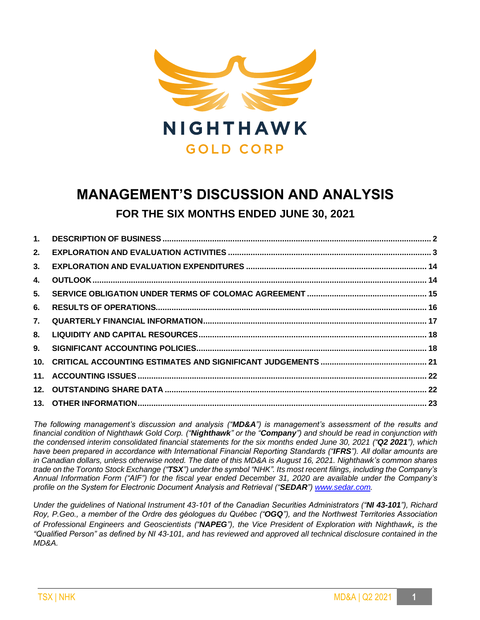

# **MANAGEMENT'S DISCUSSION AND ANALYSIS FOR THE SIX MONTHS ENDED JUNE 30, 2021**

| 5. |  |
|----|--|
|    |  |
|    |  |
|    |  |
|    |  |
|    |  |
|    |  |
|    |  |
|    |  |
|    |  |

*The following management's discussion and analysis ("MD&A") is management's assessment of the results and financial condition of Nighthawk Gold Corp. ("Nighthawk" or the "Company") and should be read in conjunction with the condensed interim consolidated financial statements for the six months ended June 30, 2021 ("Q2 2021"), which have been prepared in accordance with International Financial Reporting Standards ("IFRS"). All dollar amounts are in Canadian dollars, unless otherwise noted. The date of this MD&A is August 16, 2021. Nighthawk's common shares trade on the Toronto Stock Exchange ("TSX") under the symbol "NHK". Its most recent filings, including the Company's Annual Information Form ("AIF") for the fiscal year ended December 31, 2020 are available under the Company's profile on the System for Electronic Document Analysis and Retrieval ("SEDAR"[\) www.sedar.com.](http://www.sedar.com/)*

*Under the guidelines of National Instrument 43-101 of the Canadian Securities Administrators ("NI 43-101"), Richard Roy, P.Geo., a member of the Ordre des géologues du Québec ("OGQ"), and the Northwest Territories Association of Professional Engineers and Geoscientists ("NAPEG"), the Vice President of Exploration with Nighthawk*, *is the "Qualified Person" as defined by NI 43-101, and has reviewed and approved all technical disclosure contained in the MD&A.*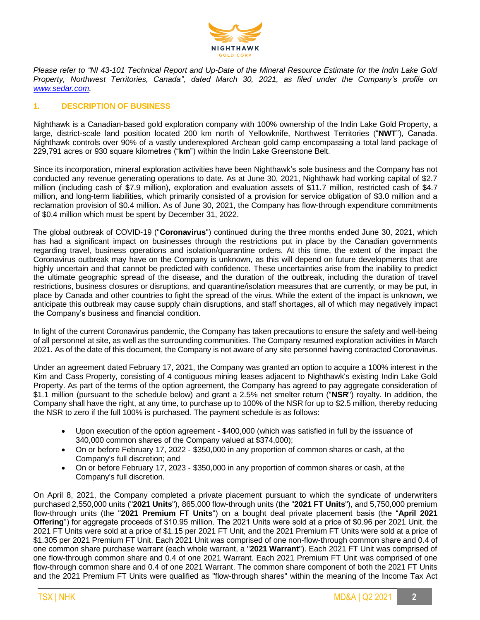

*Please refer to "NI 43-101 Technical Report and Up-Date of the Mineral Resource Estimate for the Indin Lake Gold Property, Northwest Territories, Canada", dated March 30, 2021, as filed under the Company's profile on [www.sedar.com.](http://www.sedar.com/)*

## **1. DESCRIPTION OF BUSINESS**

Nighthawk is a Canadian-based gold exploration company with 100% ownership of the Indin Lake Gold Property, a large, district-scale land position located 200 km north of Yellowknife, Northwest Territories ("**NWT**"), Canada. Nighthawk controls over 90% of a vastly underexplored Archean gold camp encompassing a total land package of 229,791 acres or 930 square kilometres ("**km**") within the Indin Lake Greenstone Belt.

Since its incorporation, mineral exploration activities have been Nighthawk's sole business and the Company has not conducted any revenue generating operations to date. As at June 30, 2021, Nighthawk had working capital of \$2.7 million (including cash of \$7.9 million), exploration and evaluation assets of \$11.7 million, restricted cash of \$4.7 million, and long-term liabilities, which primarily consisted of a provision for service obligation of \$3.0 million and a reclamation provision of \$0.4 million. As of June 30, 2021, the Company has flow-through expenditure commitments of \$0.4 million which must be spent by December 31, 2022.

The global outbreak of COVID-19 ("**Coronavirus**") continued during the three months ended June 30, 2021, which has had a significant impact on businesses through the restrictions put in place by the Canadian governments regarding travel, business operations and isolation/quarantine orders. At this time, the extent of the impact the Coronavirus outbreak may have on the Company is unknown, as this will depend on future developments that are highly uncertain and that cannot be predicted with confidence. These uncertainties arise from the inability to predict the ultimate geographic spread of the disease, and the duration of the outbreak, including the duration of travel restrictions, business closures or disruptions, and quarantine/isolation measures that are currently, or may be put, in place by Canada and other countries to fight the spread of the virus. While the extent of the impact is unknown, we anticipate this outbreak may cause supply chain disruptions, and staff shortages, all of which may negatively impact the Company's business and financial condition.

In light of the current Coronavirus pandemic, the Company has taken precautions to ensure the safety and well-being of all personnel at site, as well as the surrounding communities. The Company resumed exploration activities in March 2021. As of the date of this document, the Company is not aware of any site personnel having contracted Coronavirus.

Under an agreement dated February 17, 2021, the Company was granted an option to acquire a 100% interest in the Kim and Cass Property, consisting of 4 contiguous mining leases adjacent to Nighthawk's existing Indin Lake Gold Property. As part of the terms of the option agreement, the Company has agreed to pay aggregate consideration of \$1.1 million (pursuant to the schedule below) and grant a 2.5% net smelter return ("**NSR**") royalty. In addition, the Company shall have the right, at any time, to purchase up to 100% of the NSR for up to \$2.5 million, thereby reducing the NSR to zero if the full 100% is purchased. The payment schedule is as follows:

- Upon execution of the option agreement \$400,000 (which was satisfied in full by the issuance of 340,000 common shares of the Company valued at \$374,000);
- On or before February 17, 2022 \$350,000 in any proportion of common shares or cash, at the Company's full discretion; and
- On or before February 17, 2023 \$350,000 in any proportion of common shares or cash, at the Company's full discretion.

On April 8, 2021, the Company completed a private placement pursuant to which the syndicate of underwriters purchased 2,550,000 units ("**2021 Units**"), 865,000 flow-through units (the "**2021 FT Units**"), and 5,750,000 premium flow-through units (the "**2021 Premium FT Units**") on a bought deal private placement basis (the "**April 2021 Offering**") for aggregate proceeds of \$10.95 million. The 2021 Units were sold at a price of \$0.96 per 2021 Unit, the 2021 FT Units were sold at a price of \$1.15 per 2021 FT Unit, and the 2021 Premium FT Units were sold at a price of \$1.305 per 2021 Premium FT Unit. Each 2021 Unit was comprised of one non-flow-through common share and 0.4 of one common share purchase warrant (each whole warrant, a "**2021 Warrant**"). Each 2021 FT Unit was comprised of one flow-through common share and 0.4 of one 2021 Warrant. Each 2021 Premium FT Unit was comprised of one flow-through common share and 0.4 of one 2021 Warrant. The common share component of both the 2021 FT Units and the 2021 Premium FT Units were qualified as "flow-through shares" within the meaning of the Income Tax Act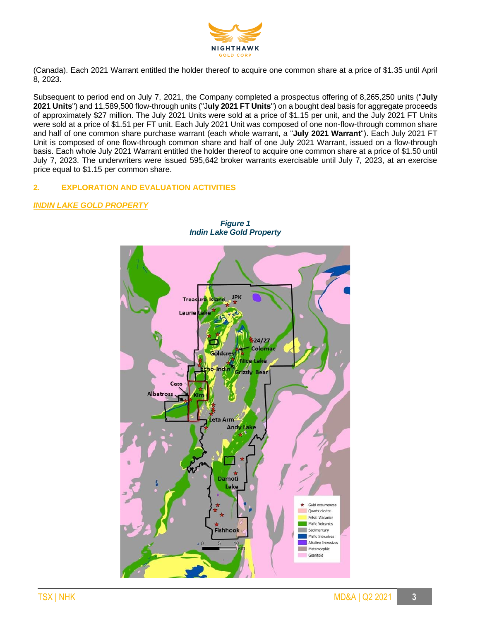

(Canada). Each 2021 Warrant entitled the holder thereof to acquire one common share at a price of \$1.35 until April 8, 2023.

Subsequent to period end on July 7, 2021, the Company completed a prospectus offering of 8,265,250 units ("**July 2021 Units**") and 11,589,500 flow-through units ("J**uly 2021 FT Units**") on a bought deal basis for aggregate proceeds of approximately \$27 million. The July 2021 Units were sold at a price of \$1.15 per unit, and the July 2021 FT Units were sold at a price of \$1.51 per FT unit. Each July 2021 Unit was composed of one non-flow-through common share and half of one common share purchase warrant (each whole warrant, a "**July 2021 Warrant**"). Each July 2021 FT Unit is composed of one flow-through common share and half of one July 2021 Warrant, issued on a flow-through basis. Each whole July 2021 Warrant entitled the holder thereof to acquire one common share at a price of \$1.50 until July 7, 2023. The underwriters were issued 595,642 broker warrants exercisable until July 7, 2023, at an exercise price equal to \$1.15 per common share.

# **2. EXPLORATION AND EVALUATION ACTIVITIES**

# *INDIN LAKE GOLD PROPERTY*



*Figure 1 Indin Lake Gold Property*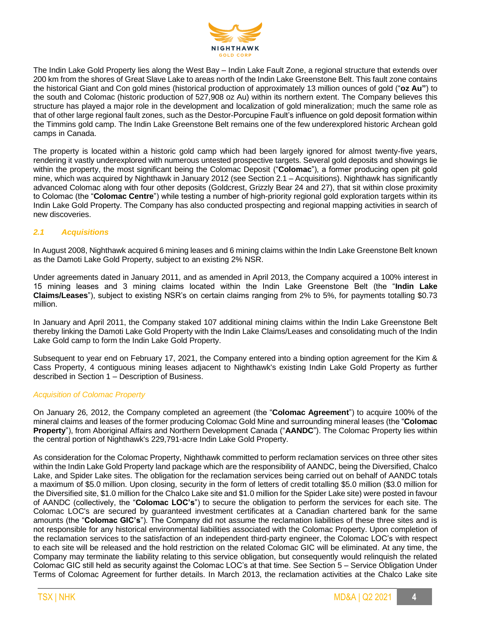

The Indin Lake Gold Property lies along the West Bay – Indin Lake Fault Zone, a regional structure that extends over 200 km from the shores of Great Slave Lake to areas north of the Indin Lake Greenstone Belt. This fault zone contains the historical Giant and Con gold mines (historical production of approximately 13 million ounces of gold ("**oz Au"**) to the south and Colomac (historic production of 527,908 oz Au) within its northern extent. The Company believes this structure has played a major role in the development and localization of gold mineralization; much the same role as that of other large regional fault zones, such as the Destor-Porcupine Fault's influence on gold deposit formation within the Timmins gold camp. The Indin Lake Greenstone Belt remains one of the few underexplored historic Archean gold camps in Canada.

The property is located within a historic gold camp which had been largely ignored for almost twenty-five years, rendering it vastly underexplored with numerous untested prospective targets. Several gold deposits and showings lie within the property, the most significant being the Colomac Deposit ("**Colomac**"), a former producing open pit gold mine, which was acquired by Nighthawk in January 2012 (see Section 2.1 – Acquisitions). Nighthawk has significantly advanced Colomac along with four other deposits (Goldcrest, Grizzly Bear 24 and 27), that sit within close proximity to Colomac (the "**Colomac Centre**") while testing a number of high-priority regional gold exploration targets within its Indin Lake Gold Property. The Company has also conducted prospecting and regional mapping activities in search of new discoveries.

# *2.1 Acquisitions*

In August 2008, Nighthawk acquired 6 mining leases and 6 mining claims within the Indin Lake Greenstone Belt known as the Damoti Lake Gold Property, subject to an existing 2% NSR.

Under agreements dated in January 2011, and as amended in April 2013, the Company acquired a 100% interest in 15 mining leases and 3 mining claims located within the Indin Lake Greenstone Belt (the "**Indin Lake Claims/Leases**"), subject to existing NSR's on certain claims ranging from 2% to 5%, for payments totalling \$0.73 million.

In January and April 2011, the Company staked 107 additional mining claims within the Indin Lake Greenstone Belt thereby linking the Damoti Lake Gold Property with the Indin Lake Claims/Leases and consolidating much of the Indin Lake Gold camp to form the Indin Lake Gold Property.

Subsequent to year end on February 17, 2021, the Company entered into a binding option agreement for the Kim & Cass Property, 4 contiguous mining leases adjacent to Nighthawk's existing Indin Lake Gold Property as further described in Section 1 – Description of Business.

#### *Acquisition of Colomac Property*

On January 26, 2012, the Company completed an agreement (the "**Colomac Agreement**") to acquire 100% of the mineral claims and leases of the former producing Colomac Gold Mine and surrounding mineral leases (the "**Colomac Property**"), from Aboriginal Affairs and Northern Development Canada ("**AANDC**"). The Colomac Property lies within the central portion of Nighthawk's 229,791-acre Indin Lake Gold Property.

As consideration for the Colomac Property, Nighthawk committed to perform reclamation services on three other sites within the Indin Lake Gold Property land package which are the responsibility of AANDC, being the Diversified, Chalco Lake, and Spider Lake sites. The obligation for the reclamation services being carried out on behalf of AANDC totals a maximum of \$5.0 million. Upon closing, security in the form of letters of credit totalling \$5.0 million (\$3.0 million for the Diversified site, \$1.0 million for the Chalco Lake site and \$1.0 million for the Spider Lake site) were posted in favour of AANDC (collectively, the "**Colomac LOC's**") to secure the obligation to perform the services for each site. The Colomac LOC's are secured by guaranteed investment certificates at a Canadian chartered bank for the same amounts (the "**Colomac GIC's**"). The Company did not assume the reclamation liabilities of these three sites and is not responsible for any historical environmental liabilities associated with the Colomac Property. Upon completion of the reclamation services to the satisfaction of an independent third-party engineer, the Colomac LOC's with respect to each site will be released and the hold restriction on the related Colomac GIC will be eliminated. At any time, the Company may terminate the liability relating to this service obligation, but consequently would relinquish the related Colomac GIC still held as security against the Colomac LOC's at that time. See Section 5 – Service Obligation Under Terms of Colomac Agreement for further details. In March 2013, the reclamation activities at the Chalco Lake site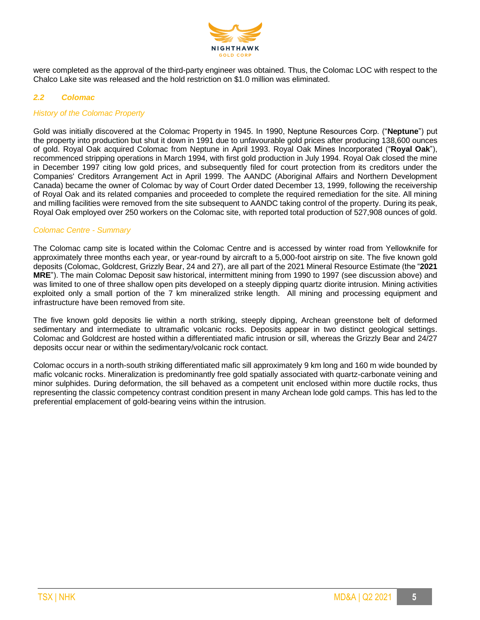

were completed as the approval of the third-party engineer was obtained. Thus, the Colomac LOC with respect to the Chalco Lake site was released and the hold restriction on \$1.0 million was eliminated.

## *2.2 Colomac*

## *History of the Colomac Property*

Gold was initially discovered at the Colomac Property in 1945. In 1990, Neptune Resources Corp. ("**Neptune**") put the property into production but shut it down in 1991 due to unfavourable gold prices after producing 138,600 ounces of gold. Royal Oak acquired Colomac from Neptune in April 1993. Royal Oak Mines Incorporated ("**Royal Oak**"), recommenced stripping operations in March 1994, with first gold production in July 1994. Royal Oak closed the mine in December 1997 citing low gold prices, and subsequently filed for court protection from its creditors under the Companies' Creditors Arrangement Act in April 1999. The AANDC (Aboriginal Affairs and Northern Development Canada) became the owner of Colomac by way of Court Order dated December 13, 1999, following the receivership of Royal Oak and its related companies and proceeded to complete the required remediation for the site. All mining and milling facilities were removed from the site subsequent to AANDC taking control of the property. During its peak, Royal Oak employed over 250 workers on the Colomac site, with reported total production of 527,908 ounces of gold.

## *Colomac Centre - Summary*

The Colomac camp site is located within the Colomac Centre and is accessed by winter road from Yellowknife for approximately three months each year, or year-round by aircraft to a 5,000-foot airstrip on site. The five known gold deposits (Colomac, Goldcrest, Grizzly Bear, 24 and 27), are all part of the 2021 Mineral Resource Estimate (the "**2021 MRE**"). The main Colomac Deposit saw historical, intermittent mining from 1990 to 1997 (see discussion above) and was limited to one of three shallow open pits developed on a steeply dipping quartz diorite intrusion. Mining activities exploited only a small portion of the 7 km mineralized strike length. All mining and processing equipment and infrastructure have been removed from site.

The five known gold deposits lie within a north striking, steeply dipping, Archean greenstone belt of deformed sedimentary and intermediate to ultramafic volcanic rocks. Deposits appear in two distinct geological settings. Colomac and Goldcrest are hosted within a differentiated mafic intrusion or sill, whereas the Grizzly Bear and 24/27 deposits occur near or within the sedimentary/volcanic rock contact.

Colomac occurs in a north-south striking differentiated mafic sill approximately 9 km long and 160 m wide bounded by mafic volcanic rocks. Mineralization is predominantly free gold spatially associated with quartz-carbonate veining and minor sulphides. During deformation, the sill behaved as a competent unit enclosed within more ductile rocks, thus representing the classic competency contrast condition present in many Archean lode gold camps. This has led to the preferential emplacement of gold-bearing veins within the intrusion.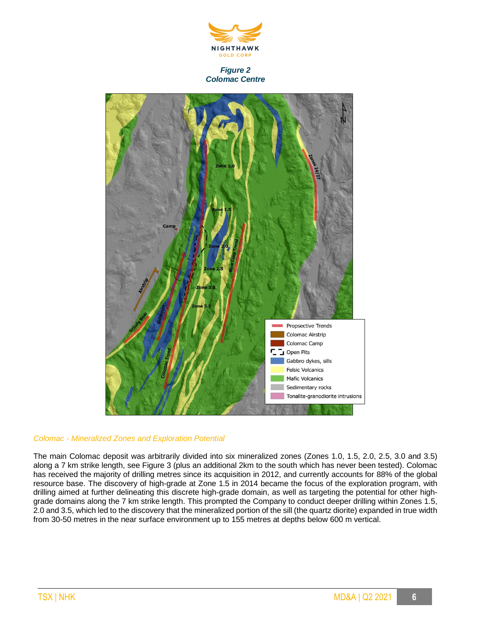

#### *Figure 2 Colomac Centre*



#### *Colomac - Mineralized Zones and Exploration Potential*

The main Colomac deposit was arbitrarily divided into six mineralized zones (Zones 1.0, 1.5, 2.0, 2.5, 3.0 and 3.5) along a 7 km strike length, see Figure 3 (plus an additional 2km to the south which has never been tested). Colomac has received the majority of drilling metres since its acquisition in 2012, and currently accounts for 88% of the global resource base. The discovery of high-grade at Zone 1.5 in 2014 became the focus of the exploration program, with drilling aimed at further delineating this discrete high-grade domain, as well as targeting the potential for other highgrade domains along the 7 km strike length. This prompted the Company to conduct deeper drilling within Zones 1.5, 2.0 and 3.5, which led to the discovery that the mineralized portion of the sill (the quartz diorite) expanded in true width from 30-50 metres in the near surface environment up to 155 metres at depths below 600 m vertical.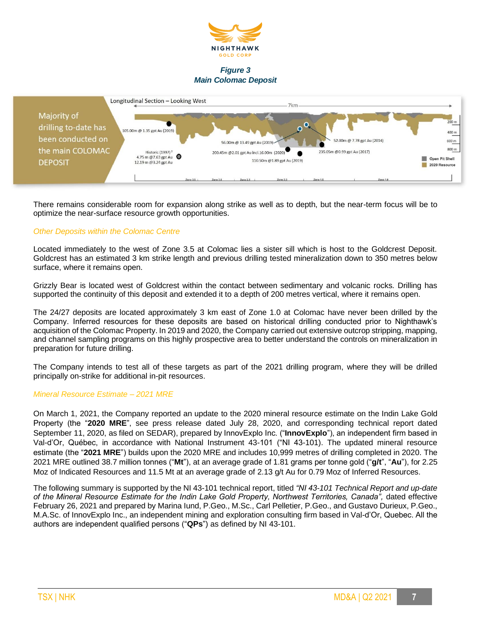

## *Figure 3 Main Colomac Deposit*



There remains considerable room for expansion along strike as well as to depth, but the near-term focus will be to optimize the near-surface resource growth opportunities.

## *Other Deposits within the Colomac Centre*

Located immediately to the west of Zone 3.5 at Colomac lies a sister sill which is host to the Goldcrest Deposit. Goldcrest has an estimated 3 km strike length and previous drilling tested mineralization down to 350 metres below surface, where it remains open.

Grizzly Bear is located west of Goldcrest within the contact between sedimentary and volcanic rocks. Drilling has supported the continuity of this deposit and extended it to a depth of 200 metres vertical, where it remains open.

The 24/27 deposits are located approximately 3 km east of Zone 1.0 at Colomac have never been drilled by the Company. Inferred resources for these deposits are based on historical drilling conducted prior to Nighthawk's acquisition of the Colomac Property. In 2019 and 2020, the Company carried out extensive outcrop stripping, mapping, and channel sampling programs on this highly prospective area to better understand the controls on mineralization in preparation for future drilling.

The Company intends to test all of these targets as part of the 2021 drilling program, where they will be drilled principally on-strike for additional in-pit resources.

#### *Mineral Resource Estimate – 2021 MRE*

On March 1, 2021, the Company reported an update to the 2020 mineral resource estimate on the Indin Lake Gold Property (the "**2020 MRE**", see press release dated July 28, 2020, and corresponding technical report dated September 11, 2020, as filed on SEDAR), prepared by InnovExplo Inc. ("**InnovExplo**"), an independent firm based in Val-d'Or, Québec, in accordance with National Instrument 43-101 ("NI 43-101). The updated mineral resource estimate (the "**2021 MRE**") builds upon the 2020 MRE and includes 10,999 metres of drilling completed in 2020. The 2021 MRE outlined 38.7 million tonnes ("**Mt**"), at an average grade of 1.81 grams per tonne gold ("**g/t**", "**Au**"), for 2.25 Moz of Indicated Resources and 11.5 Mt at an average grade of 2.13 g/t Au for 0.79 Moz of Inferred Resources.

The following summary is supported by the NI 43-101 technical report, titled *"NI 43-101 Technical Report and up-date of the Mineral Resource Estimate for the Indin Lake Gold Property, Northwest Territories, Canada",* dated effective February 26, 2021 and prepared by Marina Iund, P.Geo., M.Sc., Carl Pelletier, P.Geo., and Gustavo Durieux, P.Geo., M.A.Sc. of InnovExplo Inc., an independent mining and exploration consulting firm based in Val-d'Or, Quebec. All the authors are independent qualified persons ("**QPs**") as defined by NI 43-101.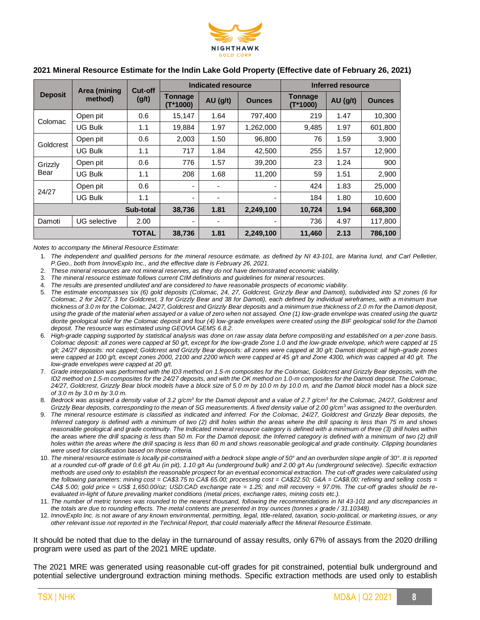

|                 | Area (mining   | Cut-off      | Indicated resource       |            |               | Inferred resource            |            |               |  |
|-----------------|----------------|--------------|--------------------------|------------|---------------|------------------------------|------------|---------------|--|
| <b>Deposit</b>  | method)        | (g/t)        | Tonnage<br>$(T*1000)$    | $AU$ (g/t) | <b>Ounces</b> | <b>Tonnage</b><br>$(T*1000)$ | $AU$ (g/t) | <b>Ounces</b> |  |
| Colomac         | Open pit       | 0.6          | 15,147                   | 1.64       | 797,400       | 219                          | 1.47       | 10,300        |  |
|                 | <b>UG Bulk</b> | 1.1          | 19,884                   | 1.97       | 1,262,000     | 9,485                        | 1.97       | 601,800       |  |
| Goldcrest       | Open pit       | 0.6          | 2,003                    | 1.50       | 96,800        | 76                           | 1.59       | 3,900         |  |
|                 | <b>UG Bulk</b> | 1.1          | 717                      | 1.84       | 42,500        | 255                          | 1.57       | 12,900        |  |
| Grizzly<br>Bear | Open pit       | 0.6          | 776                      | 1.57       | 39,200        | 23                           | 1.24       | 900           |  |
|                 | <b>UG Bulk</b> | 1.1          | 208                      | 1.68       | 11,200        | 59                           | 1.51       | 2,900         |  |
|                 | Open pit       | 0.6          | ۰                        |            |               | 424                          | 1.83       | 25,000        |  |
| 24/27           | UG Bulk        | 1.1          | $\overline{\phantom{a}}$ |            |               | 184                          | 1.80       | 10,600        |  |
|                 |                | Sub-total    | 38,736                   | 1.81       | 2,249,100     | 10,724                       | 1.94       | 668,300       |  |
| Damoti          | UG selective   | 2.00         | ٠                        |            |               | 736                          | 4.97       | 117.800       |  |
|                 |                | <b>TOTAL</b> | 38,736                   | 1.81       | 2,249,100     | 11,460                       | 2.13       | 786,100       |  |

## **2021 Mineral Resource Estimate for the Indin Lake Gold Property (Effective date of February 26, 2021)**

*Notes to accompany the Mineral Resource Estimate:*

- 1. *The independent and qualified persons for the mineral resource estimate, as defined by NI 43-101, are Marina Iund, and Carl Pelletier, P.Geo., both from InnovExplo Inc., and the effective date is February 26, 2021.*
- 2. *These mineral resources are not mineral reserves, as they do not have demonstrated economic viability.*
- 3. *The mineral resource estimate follows current CIM definitions and guidelines for mineral resources.*
- 4. *The results are presented undiluted and are considered to have reasonable prospects of economic viability.*
- 5. *The estimate encompasses six (6) gold deposits (Colomac, 24, 27, Goldcrest, Grizzly Bear and Damoti), subdivided into 52 zones (6 for Colomac, 2 for 24/27, 3 for Goldcrest, 3 for Grizzly Bear and 38 for Damoti), each defined by individual wireframes, with a minimum true thickness of 3.0 m for the Colomac, 24/27, Goldcrest and Grizzly Bear deposits and a minimum true thickness of 2.0 m for the Damoti deposit, using the grade of the material when assayed or a value of zero when not assayed. One (1) low-grade envelope was created using the quartz diorite geological solid for the Colomac deposit and four (4) low-grade envelopes were created using the BIF geological solid for the Damoti deposit. The resource was estimated using GEOVIA GEMS 6.8.2.*
- 6. *High-grade capping supported by statistical analysis was done on raw assay data before compositing and established on a per-zone basis. Colomac deposit: all zones were capped at 50 g/t, except for the low-grade Zone 1.0 and the low-grade envelope, which were capped at 15 g/t; 24/27 deposits: not capped; Goldcrest and Grizzly Bear deposits: all zones were capped at 30 g/t; Damoti deposit: all high-grade zones were capped at 100 g/t, except zones 2000, 2100 and 2200 which were capped at 45 g/t and Zone 4300, which was capped at 40 g/t. The low-grade envelopes were capped at 20 g/t.*
- 7. *Grade interpolation was performed with the ID3 method on 1.5-m composites for the Colomac, Goldcrest and Grizzly Bear deposits, with the ID2 method on 1.5-m composites for the 24/27 deposits, and with the OK method on 1.0-m composites for the Damoti deposit. The Colomac, 24/27, Goldcrest, Grizzly Bear block models have a block size of 5.0 m by 10.0 m by 10.0 m, and the Damoti block model has a block size of 3.0 m by 3.0 m by 3.0 m.*
- 8. *Bedrock was assigned a density value of 3.2 g/cm<sup>3</sup> for the Damoti deposit and a value of 2.7 g/cm<sup>3</sup> for the Colomac, 24/27, Goldcrest and Grizzly Bear deposits, corresponding to the mean of SG measurements. A fixed density value of 2.00 g/cm<sup>3</sup> was assigned to the overburden.*
- 9. *The mineral resource estimate is classified as indicated and inferred. For the Colomac, 24/27, Goldcrest and Grizzly Bear deposits, the Inferred category is defined with a minimum of two (2) drill holes within the areas where the drill spacing is less than 75 m and shows reasonable geological and grade continuity. The Indicated mineral resource category is defined with a minimum of three (3) drill holes within*  the areas where the drill spacing is less than 50 m. For the Damoti deposit, the Inferred category is defined with a minimum of two (2) drill *holes within the areas where the drill spacing is less than 60 m and shows reasonable geological and grade continuity. Clipping boundaries were used for classification based on those criteria.*
- 10. *The mineral resource estimate is locally pit-constrained with a bedrock slope angle of 50° and an overburden slope angle of 30°. It is reported at a rounded cut-off grade of 0.6 g/t Au (in pit), 1.10 g/t Au (underground bulk) and 2.00 g/t Au (underground selective). Specific extraction methods are used only to establish the reasonable prospect for an eventual economical extraction. The cut-off grades were calculated using the following parameters: mining cost = CA\$3.75 to CA\$ 65.00; processing cost = CA\$22.50; G&A = CA\$8.00; refining and selling costs = CA\$ 5.00; gold price = US\$ 1,650.00/oz; USD:CAD exchange rate = 1.25; and mill recovery = 97.0%. The cut-off grades should be reevaluated in-light of future prevailing market conditions (metal prices, exchange rates, mining costs etc.).*
- 11. *The number of metric tonnes was rounded to the nearest thousand, following the recommendations in NI 43-101 and any discrepancies in the totals are due to rounding effects. The metal contents are presented in troy ounces (tonnes x grade / 31.10348).*
- 12. *InnovExplo Inc. is not aware of any known environmental, permitting, legal, title-related, taxation, socio-political, or marketing issues, or any other relevant issue not reported in the Technical Report, that could materially affect the Mineral Resource Estimate.*

It should be noted that due to the delay in the turnaround of assay results, only 67% of assays from the 2020 drilling program were used as part of the 2021 MRE update.

The 2021 MRE was generated using reasonable cut-off grades for pit constrained, potential bulk underground and potential selective underground extraction mining methods. Specific extraction methods are used only to establish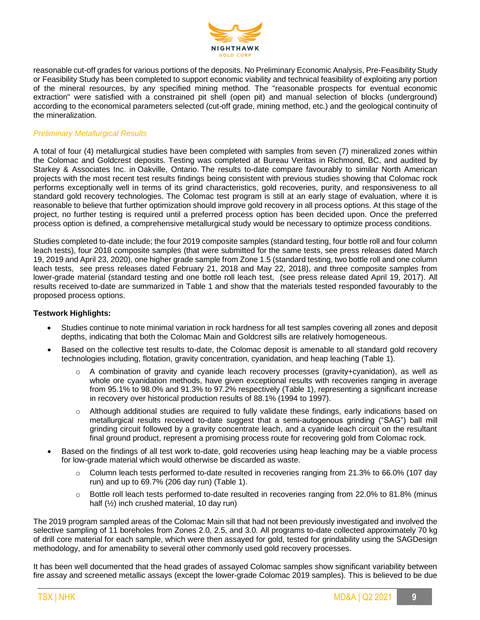

reasonable cut-off grades for various portions of the deposits. No Preliminary Economic Analysis, Pre-Feasibility Study or Feasibility Study has been completed to support economic viability and technical feasibility of exploiting any portion of the mineral resources, by any specified mining method. The "reasonable prospects for eventual economic extraction" were satisfied with a constrained pit shell (open pit) and manual selection of blocks (underground) according to the economical parameters selected (cut-off grade, mining method, etc.) and the geological continuity of the mineralization.

## *Preliminary Metallurgical Results*

A total of four (4) metallurgical studies have been completed with samples from seven (7) mineralized zones within the Colomac and Goldcrest deposits. Testing was completed at Bureau Veritas in Richmond, BC, and audited by Starkey & Associates Inc. in Oakville, Ontario. The results to-date compare favourably to similar North American projects with the most recent test results findings being consistent with previous studies showing that Colomac rock performs exceptionally well in terms of its grind characteristics, gold recoveries, purity, and responsiveness to all standard gold recovery technologies. The Colomac test program is still at an early stage of evaluation, where it is reasonable to believe that further optimization should improve gold recovery in all process options. At this stage of the project, no further testing is required until a preferred process option has been decided upon. Once the preferred process option is defined, a comprehensive metallurgical study would be necessary to optimize process conditions.

Studies completed to-date include; the four 2019 composite samples (standard testing, four bottle roll and four column leach tests), four 2018 composite samples (that were submitted for the same tests, see press releases dated March 19, 2019 and April 23, 2020), one higher grade sample from Zone 1.5 (standard testing, two bottle roll and one column leach tests, see press releases dated February 21, 2018 and May 22, 2018), and three composite samples from lower-grade material (standard testing and one bottle roll leach test, (see press release dated April 19, 2017). All results received to-date are summarized in Table 1 and show that the materials tested responded favourably to the proposed process options.

## **Testwork Highlights:**

- Studies continue to note minimal variation in rock hardness for all test samples covering all zones and deposit depths, indicating that both the Colomac Main and Goldcrest sills are relatively homogeneous.
- Based on the collective test results to-date, the Colomac deposit is amenable to all standard gold recovery technologies including, flotation, gravity concentration, cyanidation, and heap leaching (Table 1).
	- $\circ$  A combination of gravity and cyanide leach recovery processes (gravity+cyanidation), as well as whole ore cyanidation methods, have given exceptional results with recoveries ranging in average from 95.1% to 98.0% and 91.3% to 97.2% respectively (Table 1), representing a significant increase in recovery over historical production results of 88.1% (1994 to 1997).
	- Although additional studies are required to fully validate these findings, early indications based on metallurgical results received to-date suggest that a semi-autogenous grinding ("SAG") ball mill grinding circuit followed by a gravity concentrate leach, and a cyanide leach circuit on the resultant final ground product, represent a promising process route for recovering gold from Colomac rock.
- Based on the findings of all test work to-date, gold recoveries using heap leaching may be a viable process for low-grade material which would otherwise be discarded as waste.
	- Column leach tests performed to-date resulted in recoveries ranging from 21.3% to 66.0% (107 day run) and up to 69.7% (206 day run) (Table 1).
	- o Bottle roll leach tests performed to-date resulted in recoveries ranging from 22.0% to 81.8% (minus half (½) inch crushed material, 10 day run)

The 2019 program sampled areas of the Colomac Main sill that had not been previously investigated and involved the selective sampling of 11 boreholes from Zones 2.0, 2.5, and 3.0. All programs to-date collected approximately 70 kg of drill core material for each sample, which were then assayed for gold, tested for grindability using the SAGDesign methodology, and for amenability to several other commonly used gold recovery processes.

It has been well documented that the head grades of assayed Colomac samples show significant variability between fire assay and screened metallic assays (except the lower-grade Colomac 2019 samples). This is believed to be due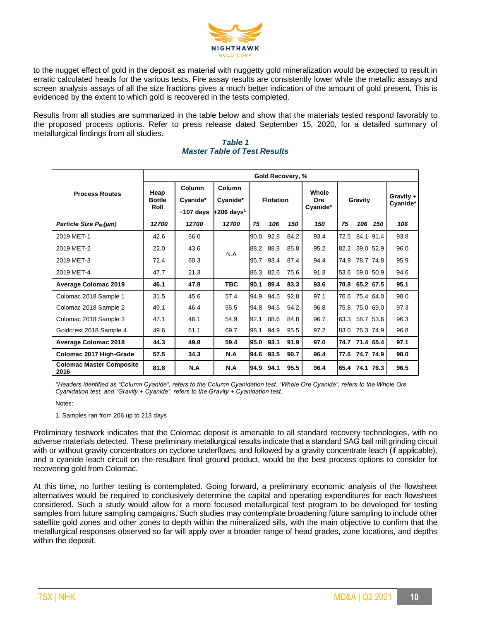

to the nugget effect of gold in the deposit as material with nuggetty gold mineralization would be expected to result in erratic calculated heads for the various tests. Fire assay results are consistently lower while the metallic assays and screen analysis assays of all the size fractions gives a much better indication of the amount of gold present. This is evidenced by the extent to which gold is recovered in the tests completed.

Results from all studies are summarized in the table below and show that the materials tested respond favorably to the proposed process options. Refer to press release dated September 15, 2020, for a detailed summary of metallurgical findings from all studies.

|                                         | Gold Recovery, % |             |                          |                  |           |      |          |      |                       |      |      |
|-----------------------------------------|------------------|-------------|--------------------------|------------------|-----------|------|----------|------|-----------------------|------|------|
|                                         | Heap             | Column      | Column                   |                  |           |      | Whole    |      |                       |      |      |
| <b>Process Routes</b>                   | <b>Bottle</b>    | Cyanide*    | Cyanide*                 | <b>Flotation</b> |           | Ore  | Gravity  |      | Gravity +<br>Cyanide* |      |      |
|                                         | Roll             | $~107$ days | $+206$ days <sup>1</sup> |                  |           |      | Cyanide* |      |                       |      |      |
| Particle Size P <sub>80</sub> (µm)      | 12700            | 12700       | 12700                    | 75               | 106       | 150  | 150      | 75   | 106                   | 150  | 106  |
| 2019 MET-1                              | 42.6             | 66.0        |                          | 90.0             | 92.8      | 84.2 | 93.4     | 72.5 | 84.1                  | 91.4 | 93.8 |
| 2019 MET-2                              | 22.0             | 43.6        | N.A                      | 88.2 88.8        |           | 85.8 | 95.2     |      | 82.2 39.0 52.9        |      | 96.0 |
| 2019 MET-3                              | 72.4             | 60.3        |                          | 95.7             | 93.4      | 87.4 | 94.4     | 74.9 | 78.7 74.8             |      | 95.9 |
| 2019 MET-4                              | 47.7             | 21.3        |                          |                  | 86.3 82.6 | 75.6 | 91.3     |      | 53.6 59.0 50.9        |      | 94.6 |
| <b>Average Colomac 2019</b>             | 46.1             | 47.8        | <b>TBC</b>               | 90.1             | 89.4      | 83.3 | 93.6     |      | 70.8 65.2 67.5        |      | 95.1 |
| Colomac 2018 Sample 1                   | 31.5             | 45.6        | 57.4                     | 94.9             | 94.5      | 92.8 | 97.1     | 76.6 | 75.4 64.0             |      | 98.0 |
| Colomac 2018 Sample 2                   | 49.1             | 46.4        | 55.5                     | 94.8             | 94.5      | 94.2 | 96.8     | 75.8 | 75.0 69.0             |      | 97.3 |
| Colomac 2018 Sample 3                   | 47.1             | 46.1        | 54.9                     | 92.1             | 88.6      | 84.8 | 96.7     | 63.3 | 58.7 53.6             |      | 96.3 |
| Goldcrest 2018 Sample 4                 | 49.6             | 61.1        | 69.7                     | 98.1             | 94.9      | 95.5 | 97.2     | 83.0 | 76.3 74.9             |      | 96.8 |
| <b>Average Colomac 2018</b>             | 44.3             | 49.8        | 59.4                     | 95.0             | 93.1      | 91.9 | 97.0     |      | 74.7 71.4 65.4        |      | 97.1 |
| Colomac 2017 High-Grade                 | 57.5             | 34.3        | N.A                      | 94.6 93.5        |           | 90.7 | 96.4     |      | 77.6 74.7 74.9        |      | 98.0 |
| <b>Colomac Master Composite</b><br>2016 | 81.8             | N.A         | N.A                      | 94.9             | 94.1      | 95.5 | 96.4     |      | 65.4 74.1 76.3        |      | 96.5 |

#### *Table 1 Master Table of Test Results*

*\*Headers identified as "Column Cyanide", refers to the Column Cyanidation test, "Whole Ore Cyanide", refers to the Whole Ore Cyanidation test, and "Gravity + Cyanide", refers to the Gravity + Cyanidation test.*

Notes:

1. Samples ran from 206 up to 213 days

Preliminary testwork indicates that the Colomac deposit is amenable to all standard recovery technologies, with no adverse materials detected. These preliminary metallurgical results indicate that a standard SAG ball mill grinding circuit with or without gravity concentrators on cyclone underflows, and followed by a gravity concentrate leach (if applicable), and a cyanide leach circuit on the resultant final ground product, would be the best process options to consider for recovering gold from Colomac.

At this time, no further testing is contemplated. Going forward, a preliminary economic analysis of the flowsheet alternatives would be required to conclusively determine the capital and operating expenditures for each flowsheet considered. Such a study would allow for a more focused metallurgical test program to be developed for testing samples from future sampling campaigns. Such studies may contemplate broadening future sampling to include other satellite gold zones and other zones to depth within the mineralized sills, with the main objective to confirm that the metallurgical responses observed so far will apply over a broader range of head grades, zone locations, and depths within the deposit.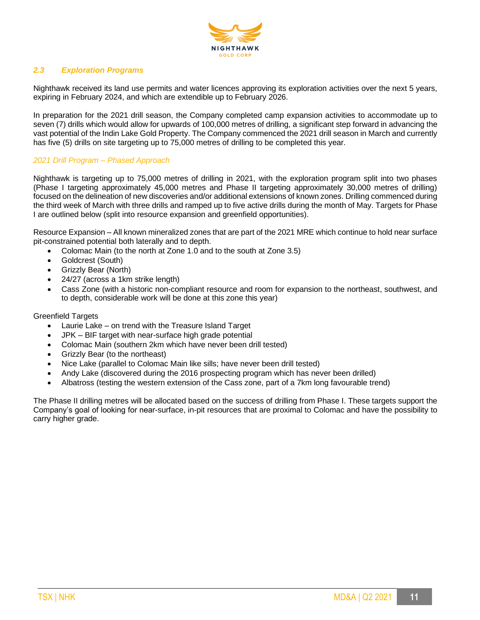

# *2.3 Exploration Programs*

Nighthawk received its land use permits and water licences approving its exploration activities over the next 5 years, expiring in February 2024, and which are extendible up to February 2026.

In preparation for the 2021 drill season, the Company completed camp expansion activities to accommodate up to seven (7) drills which would allow for upwards of 100,000 metres of drilling, a significant step forward in advancing the vast potential of the Indin Lake Gold Property. The Company commenced the 2021 drill season in March and currently has five (5) drills on site targeting up to 75,000 metres of drilling to be completed this year.

## *2021 Drill Program – Phased Approach*

Nighthawk is targeting up to 75,000 metres of drilling in 2021, with the exploration program split into two phases (Phase I targeting approximately 45,000 metres and Phase II targeting approximately 30,000 metres of drilling) focused on the delineation of new discoveries and/or additional extensions of known zones. Drilling commenced during the third week of March with three drills and ramped up to five active drills during the month of May. Targets for Phase I are outlined below (split into resource expansion and greenfield opportunities).

Resource Expansion – All known mineralized zones that are part of the 2021 MRE which continue to hold near surface pit-constrained potential both laterally and to depth.

- Colomac Main (to the north at Zone 1.0 and to the south at Zone 3.5)
- Goldcrest (South)
- Grizzly Bear (North)
- 24/27 (across a 1km strike length)
- Cass Zone (with a historic non-compliant resource and room for expansion to the northeast, southwest, and to depth, considerable work will be done at this zone this year)

#### Greenfield Targets

- Laurie Lake on trend with the Treasure Island Target
- JPK BIF target with near-surface high grade potential
- Colomac Main (southern 2km which have never been drill tested)
- Grizzly Bear (to the northeast)
- Nice Lake (parallel to Colomac Main like sills; have never been drill tested)
- Andy Lake (discovered during the 2016 prospecting program which has never been drilled)
- Albatross (testing the western extension of the Cass zone, part of a 7km long favourable trend)

The Phase II drilling metres will be allocated based on the success of drilling from Phase I. These targets support the Company's goal of looking for near-surface, in-pit resources that are proximal to Colomac and have the possibility to carry higher grade.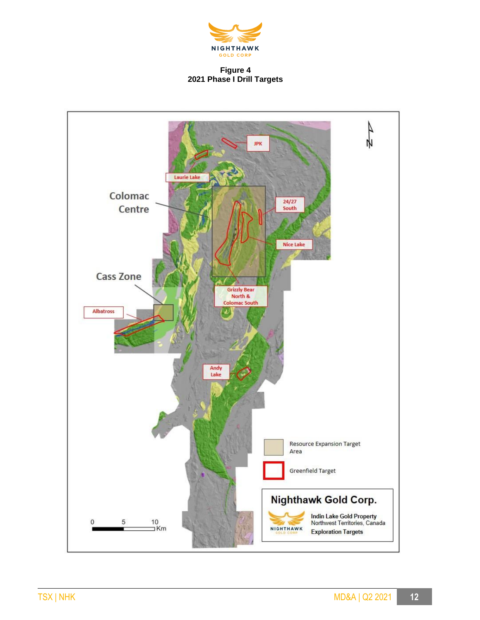

## **Figure 4 2021 Phase I Drill Targets**

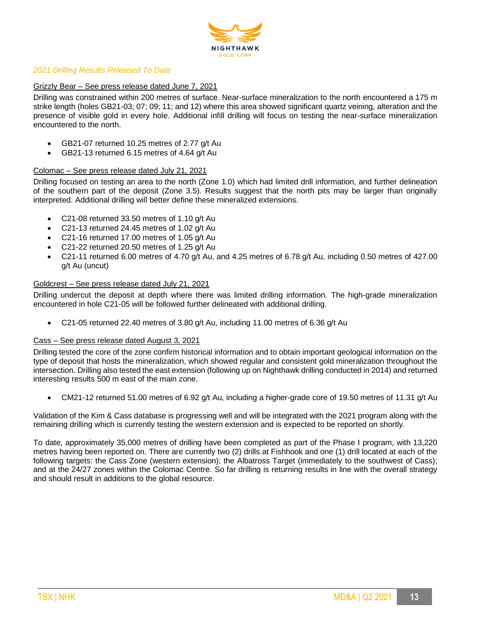

## *2021 Drilling Results Released To Date*

## Grizzly Bear – See press release dated June 7, 2021

Drilling was constrained within 200 metres of surface. Near-surface mineralization to the north encountered a 175 m strike length (holes GB21-03; 07; 09; 11; and 12) where this area showed significant quartz veining, alteration and the presence of visible gold in every hole. Additional infill drilling will focus on testing the near-surface mineralization encountered to the north.

- GB21-07 returned 10.25 metres of 2.77 g/t Au
- GB21-13 returned 6.15 metres of 4.64 g/t Au

#### Colomac – See press release dated July 21, 2021

Drilling focused on testing an area to the north (Zone 1.0) which had limited drill information, and further delineation of the southern part of the deposit (Zone 3.5). Results suggest that the north pits may be larger than originally interpreted. Additional drilling will better define these mineralized extensions.

- C21-08 returned 33.50 metres of 1.10 g/t Au
- C21-13 returned 24.45 metres of 1.02 g/t Au
- C21-16 returned 17.00 metres of 1.05 g/t Au
- C21-22 returned 20.50 metres of 1.25 g/t Au
- C21-11 returned 6.00 metres of 4.70 g/t Au, and 4.25 metres of 6.78 g/t Au, including 0.50 metres of 427.00 g/t Au (uncut)

#### Goldcrest – See press release dated July 21, 2021

Drilling undercut the deposit at depth where there was limited drilling information. The high-grade mineralization encountered in hole C21-05 will be followed further delineated with additional drilling.

• C21-05 returned 22.40 metres of 3.80 g/t Au, including 11.00 metres of 6.36 g/t Au

#### Cass – See press release dated August 3, 2021

Drilling tested the core of the zone confirm historical information and to obtain important geological information on the type of deposit that hosts the mineralization, which showed regular and consistent gold mineralization throughout the intersection. Drilling also tested the east extension (following up on Nighthawk drilling conducted in 2014) and returned interesting results 500 m east of the main zone.

• CM21-12 returned 51.00 metres of 6.92 g/t Au, including a higher-grade core of 19.50 metres of 11.31 g/t Au

Validation of the Kim & Cass database is progressing well and will be integrated with the 2021 program along with the remaining drilling which is currently testing the western extension and is expected to be reported on shortly.

To date, approximately 35,000 metres of drilling have been completed as part of the Phase I program, with 13,220 metres having been reported on. There are currently two (2) drills at Fishhook and one (1) drill located at each of the following targets: the Cass Zone (western extension); the Albatross Target (immediately to the southwest of Cass); and at the 24/27 zones within the Colomac Centre. So far drilling is returning results in line with the overall strategy and should result in additions to the global resource.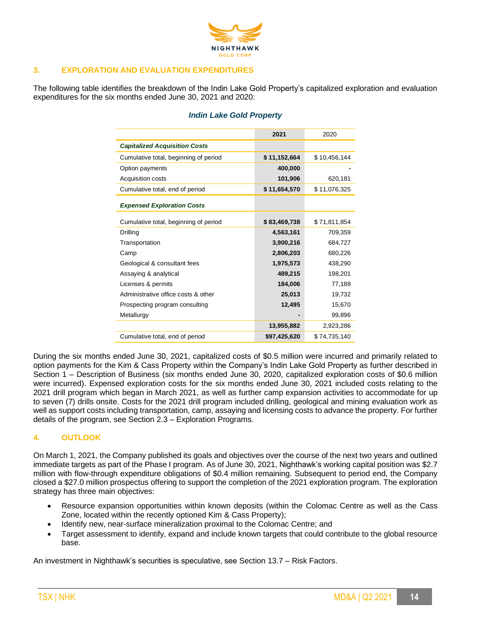

# **3. EXPLORATION AND EVALUATION EXPENDITURES**

The following table identifies the breakdown of the Indin Lake Gold Property's capitalized exploration and evaluation expenditures for the six months ended June 30, 2021 and 2020:

|                                       | 2021         |              |
|---------------------------------------|--------------|--------------|
|                                       |              | 2020         |
| <b>Capitalized Acquisition Costs</b>  |              |              |
| Cumulative total, beginning of period | \$11,152,664 | \$10,456,144 |
| Option payments                       | 400,000      |              |
| Acquisition costs                     | 101,906      | 620,181      |
| Cumulative total, end of period       | \$11,654,570 | \$11.076.325 |
| <b>Expensed Exploration Costs</b>     |              |              |
|                                       |              |              |
| Cumulative total, beginning of period | \$83,469,738 | \$71,811,854 |
| Drilling                              | 4,563,161    | 709,359      |
| Transportation                        | 3,900,216    | 684,727      |
| Camp                                  | 2,806,203    | 680,226      |
| Geological & consultant fees          | 1,975,573    | 438,290      |
| Assaying & analytical                 | 489,215      | 198,201      |
| Licenses & permits                    | 184,006      | 77,188       |
| Administrative office costs & other   | 25,013       | 19,732       |
| Prospecting program consulting        | 12,495       | 15,670       |
| Metallurgy                            |              | 99,896       |
|                                       | 13,955,882   | 2,923,286    |
| Cumulative total, end of period       | \$97,425,620 | \$74.735.140 |

## *Indin Lake Gold Property*

During the six months ended June 30, 2021, capitalized costs of \$0.5 million were incurred and primarily related to option payments for the Kim & Cass Property within the Company's Indin Lake Gold Property as further described in Section 1 – Description of Business (six months ended June 30, 2020, capitalized exploration costs of \$0.6 million were incurred). Expensed exploration costs for the six months ended June 30, 2021 included costs relating to the 2021 drill program which began in March 2021, as well as further camp expansion activities to accommodate for up to seven (7) drills onsite. Costs for the 2021 drill program included drilling, geological and mining evaluation work as well as support costs including transportation, camp, assaying and licensing costs to advance the property. For further details of the program, see Section 2.3 – Exploration Programs.

# **4. OUTLOOK**

On March 1, 2021, the Company published its goals and objectives over the course of the next two years and outlined immediate targets as part of the Phase I program. As of June 30, 2021, Nighthawk's working capital position was \$2.7 million with flow-through expenditure obligations of \$0.4 million remaining. Subsequent to period end, the Company closed a \$27.0 million prospectus offering to support the completion of the 2021 exploration program. The exploration strategy has three main objectives:

- Resource expansion opportunities within known deposits (within the Colomac Centre as well as the Cass Zone, located within the recently optioned Kim & Cass Property);
- Identify new, near-surface mineralization proximal to the Colomac Centre; and
- Target assessment to identify, expand and include known targets that could contribute to the global resource base.

An investment in Nighthawk's securities is speculative, see Section 13.7 – Risk Factors.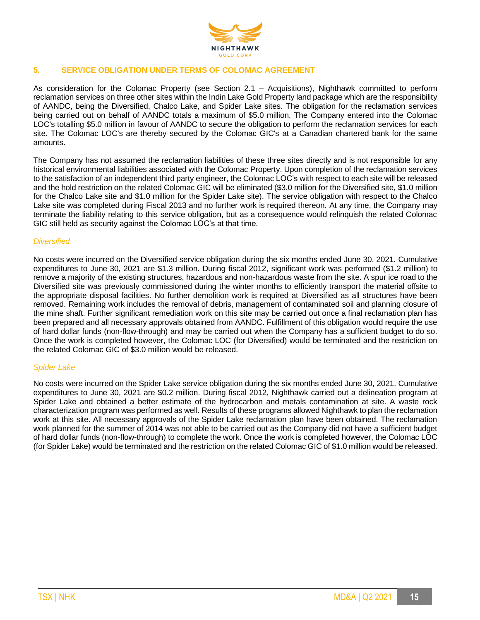

# **5. SERVICE OBLIGATION UNDER TERMS OF COLOMAC AGREEMENT**

As consideration for the Colomac Property (see Section 2.1 – Acquisitions), Nighthawk committed to perform reclamation services on three other sites within the Indin Lake Gold Property land package which are the responsibility of AANDC, being the Diversified, Chalco Lake, and Spider Lake sites. The obligation for the reclamation services being carried out on behalf of AANDC totals a maximum of \$5.0 million. The Company entered into the Colomac LOC's totalling \$5.0 million in favour of AANDC to secure the obligation to perform the reclamation services for each site. The Colomac LOC's are thereby secured by the Colomac GIC's at a Canadian chartered bank for the same amounts.

The Company has not assumed the reclamation liabilities of these three sites directly and is not responsible for any historical environmental liabilities associated with the Colomac Property. Upon completion of the reclamation services to the satisfaction of an independent third party engineer, the Colomac LOC's with respect to each site will be released and the hold restriction on the related Colomac GIC will be eliminated (\$3.0 million for the Diversified site, \$1.0 million for the Chalco Lake site and \$1.0 million for the Spider Lake site). The service obligation with respect to the Chalco Lake site was completed during Fiscal 2013 and no further work is required thereon. At any time, the Company may terminate the liability relating to this service obligation, but as a consequence would relinquish the related Colomac GIC still held as security against the Colomac LOC's at that time.

#### *Diversified*

No costs were incurred on the Diversified service obligation during the six months ended June 30, 2021. Cumulative expenditures to June 30, 2021 are \$1.3 million. During fiscal 2012, significant work was performed (\$1.2 million) to remove a majority of the existing structures, hazardous and non-hazardous waste from the site. A spur ice road to the Diversified site was previously commissioned during the winter months to efficiently transport the material offsite to the appropriate disposal facilities. No further demolition work is required at Diversified as all structures have been removed. Remaining work includes the removal of debris, management of contaminated soil and planning closure of the mine shaft. Further significant remediation work on this site may be carried out once a final reclamation plan has been prepared and all necessary approvals obtained from AANDC. Fulfillment of this obligation would require the use of hard dollar funds (non-flow-through) and may be carried out when the Company has a sufficient budget to do so. Once the work is completed however, the Colomac LOC (for Diversified) would be terminated and the restriction on the related Colomac GIC of \$3.0 million would be released.

#### *Spider Lake*

No costs were incurred on the Spider Lake service obligation during the six months ended June 30, 2021. Cumulative expenditures to June 30, 2021 are \$0.2 million. During fiscal 2012, Nighthawk carried out a delineation program at Spider Lake and obtained a better estimate of the hydrocarbon and metals contamination at site. A waste rock characterization program was performed as well. Results of these programs allowed Nighthawk to plan the reclamation work at this site. All necessary approvals of the Spider Lake reclamation plan have been obtained. The reclamation work planned for the summer of 2014 was not able to be carried out as the Company did not have a sufficient budget of hard dollar funds (non-flow-through) to complete the work. Once the work is completed however, the Colomac LOC (for Spider Lake) would be terminated and the restriction on the related Colomac GIC of \$1.0 million would be released.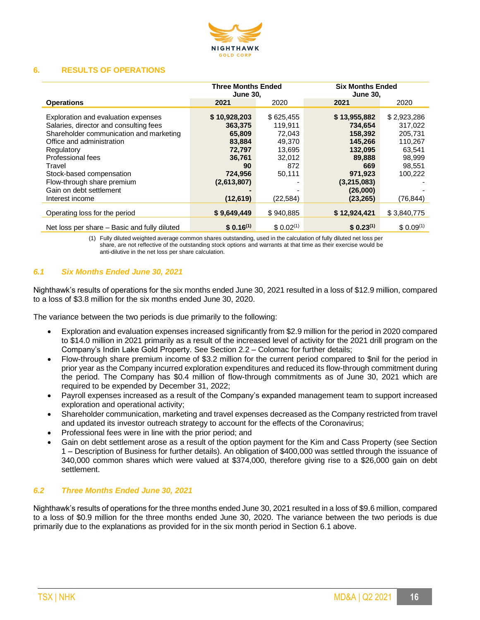

#### **6. RESULTS OF OPERATIONS**

|                                                                                                                                                                                                                                                                                                            | <b>Three Months Ended</b><br><b>June 30,</b>                                                                 |                                                                                            | <b>Six Months Ended</b><br><b>June 30,</b>                                                                                   |                                                                                                    |
|------------------------------------------------------------------------------------------------------------------------------------------------------------------------------------------------------------------------------------------------------------------------------------------------------------|--------------------------------------------------------------------------------------------------------------|--------------------------------------------------------------------------------------------|------------------------------------------------------------------------------------------------------------------------------|----------------------------------------------------------------------------------------------------|
| <b>Operations</b>                                                                                                                                                                                                                                                                                          | 2021                                                                                                         | 2020                                                                                       | 2021                                                                                                                         | 2020                                                                                               |
| Exploration and evaluation expenses<br>Salaries, director and consulting fees<br>Shareholder communication and marketing<br>Office and administration<br>Regulatory<br>Professional fees<br>Travel<br>Stock-based compensation<br>Flow-through share premium<br>Gain on debt settlement<br>Interest income | \$10,928,203<br>363,375<br>65,809<br>83,884<br>72,797<br>36,761<br>90<br>724,956<br>(2,613,807)<br>(12, 619) | \$625,455<br>119.911<br>72.043<br>49,370<br>13,695<br>32,012<br>872<br>50,111<br>(22, 584) | \$13,955,882<br>734.654<br>158,392<br>145,266<br>132,095<br>89,888<br>669<br>971,923<br>(3,215,083)<br>(26,000)<br>(23, 265) | \$2,923,286<br>317,022<br>205.731<br>110,267<br>63.541<br>98.999<br>98.551<br>100,222<br>(76, 844) |
| Operating loss for the period                                                                                                                                                                                                                                                                              | \$9,649,449                                                                                                  | \$940,885                                                                                  | \$12,924,421                                                                                                                 | \$3,840,775                                                                                        |
| Net loss per share – Basic and fully diluted                                                                                                                                                                                                                                                               | $$0.16^{(1)}$                                                                                                | \$0.02 <sup>(1)</sup>                                                                      | $$0.23^{(1)}$$                                                                                                               | $$0.09^{(1)}$                                                                                      |

(1) Fully diluted weighted average common shares outstanding, used in the calculation of fully diluted net loss per share, are not reflective of the outstanding stock options and warrants at that time as their exercise would be anti-dilutive in the net loss per share calculation.

## *6.1 Six Months Ended June 30, 2021*

Nighthawk's results of operations for the six months ended June 30, 2021 resulted in a loss of \$12.9 million, compared to a loss of \$3.8 million for the six months ended June 30, 2020.

The variance between the two periods is due primarily to the following:

- Exploration and evaluation expenses increased significantly from \$2.9 million for the period in 2020 compared to \$14.0 million in 2021 primarily as a result of the increased level of activity for the 2021 drill program on the Company's Indin Lake Gold Property. See Section 2.2 – Colomac for further details;
- Flow-through share premium income of \$3.2 million for the current period compared to \$nil for the period in prior year as the Company incurred exploration expenditures and reduced its flow-through commitment during the period. The Company has \$0.4 million of flow-through commitments as of June 30, 2021 which are required to be expended by December 31, 2022;
- Payroll expenses increased as a result of the Company's expanded management team to support increased exploration and operational activity;
- Shareholder communication, marketing and travel expenses decreased as the Company restricted from travel and updated its investor outreach strategy to account for the effects of the Coronavirus;
- Professional fees were in line with the prior period; and
- Gain on debt settlement arose as a result of the option payment for the Kim and Cass Property (see Section 1 – Description of Business for further details). An obligation of \$400,000 was settled through the issuance of 340,000 common shares which were valued at \$374,000, therefore giving rise to a \$26,000 gain on debt settlement.

## *6.2 Three Months Ended June 30, 2021*

Nighthawk's results of operations for the three months ended June 30, 2021 resulted in a loss of \$9.6 million, compared to a loss of \$0.9 million for the three months ended June 30, 2020. The variance between the two periods is due primarily due to the explanations as provided for in the six month period in Section 6.1 above.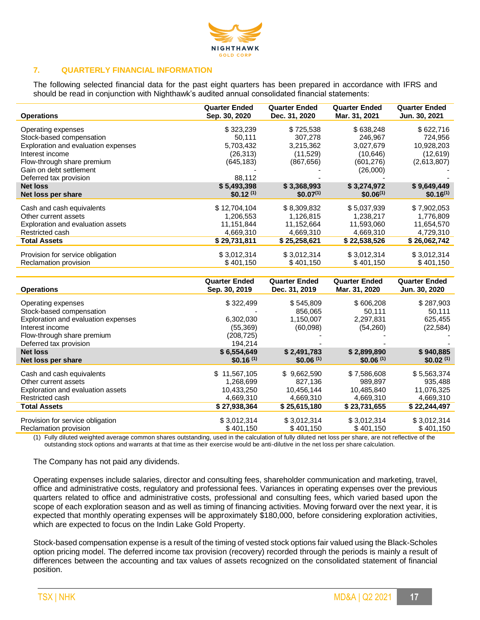

## **7. QUARTERLY FINANCIAL INFORMATION**

The following selected financial data for the past eight quarters has been prepared in accordance with IFRS and should be read in conjunction with Nighthawk's audited annual consolidated financial statements:

| <b>Operations</b>                   | <b>Quarter Ended</b><br>Sep. 30, 2020 | <b>Quarter Ended</b><br>Dec. 31, 2020 | <b>Quarter Ended</b><br>Mar. 31, 2021 | <b>Quarter Ended</b><br>Jun. 30, 2021 |
|-------------------------------------|---------------------------------------|---------------------------------------|---------------------------------------|---------------------------------------|
| Operating expenses                  | \$323,239                             | \$725,538                             | \$638,248                             | \$622,716                             |
| Stock-based compensation            | 50,111                                | 307,278                               | 246.967                               | 724,956                               |
| Exploration and evaluation expenses | 5,703,432                             | 3,215,362                             | 3,027,679                             | 10,928,203                            |
| Interest income                     | (26, 313)                             | (11,529)                              | (10,646)                              | (12,619)                              |
| Flow-through share premium          | (645, 183)                            | (867, 656)                            | (601, 276)                            | (2,613,807)                           |
| Gain on debt settlement             |                                       |                                       | (26,000)                              |                                       |
| Deferred tax provision              | 88,112                                |                                       |                                       |                                       |
| <b>Net loss</b>                     | \$5,493,398                           | \$3,368,993                           | \$3,274,972                           | \$9,649,449                           |
| Net loss per share                  | $$0.12^{(1)}$$                        | $$0.07^{(1)}$                         | $$0.06^{(1)}$                         | $$0.16^{(1)}$$                        |
| Cash and cash equivalents           | \$12,704,104                          | \$8,309,832                           | \$5,037,939                           | \$7,902,053                           |
| Other current assets                | 1,206,553                             | 1,126,815                             | 1,238,217                             | 1,776,809                             |
| Exploration and evaluation assets   | 11,151,844                            | 11,152,664                            | 11,593,060                            | 11,654,570                            |
| Restricted cash                     | 4,669,310                             | 4,669,310                             | 4,669,310                             | 4,729,310                             |
| <b>Total Assets</b>                 | \$29,731,811                          | \$25,258,621                          | \$22,538,526                          | \$26,062,742                          |
| Provision for service obligation    | \$3,012,314                           | \$3,012,314                           | \$3,012,314                           | \$3,012,314                           |
| Reclamation provision               | \$401,150                             | \$401,150                             | \$401,150                             | \$401,150                             |

| <b>Operations</b>                                                                                                                | <b>Quarter Ended</b>                                                     | <b>Quarter Ended</b>                                              | <b>Quarter Ended</b>                                              | <b>Quarter Ended</b>                                              |
|----------------------------------------------------------------------------------------------------------------------------------|--------------------------------------------------------------------------|-------------------------------------------------------------------|-------------------------------------------------------------------|-------------------------------------------------------------------|
|                                                                                                                                  | Sep. 30, 2019                                                            | Dec. 31, 2019                                                     | Mar. 31, 2020                                                     | Jun. 30, 2020                                                     |
| Operating expenses<br>Stock-based compensation<br>Exploration and evaluation expenses                                            | \$322,499<br>6,302,030                                                   | \$545,809<br>856,065<br>1,150,007                                 | \$606,208<br>50,111<br>2,297,831                                  | \$287,903<br>50,111<br>625,455                                    |
| Interest income<br>Flow-through share premium<br>Deferred tax provision                                                          | (55,369)<br>(208, 725)<br>194,214                                        | (60,098)                                                          | (54,260)                                                          | (22, 584)                                                         |
| <b>Net loss</b>                                                                                                                  | \$6,554,649                                                              | \$2,491,783                                                       | \$2,899,890                                                       | \$940,885                                                         |
| Net loss per share                                                                                                               | \$0.16 <sup>(1)</sup>                                                    | \$0.06(1)                                                         | \$0.06(1)                                                         | \$0.02 <sup>(1)</sup>                                             |
| Cash and cash equivalents<br>Other current assets<br>Exploration and evaluation assets<br>Restricted cash<br><b>Total Assets</b> | 11,567,105<br>S.<br>1,268,699<br>10,433,250<br>4,669,310<br>\$27,938,364 | \$9,662,590<br>827,136<br>10,456,144<br>4,669,310<br>\$25,615,180 | \$7,586,608<br>989.897<br>10,485,840<br>4,669,310<br>\$23,731,655 | \$5,563,374<br>935,488<br>11,076,325<br>4,669,310<br>\$22,244,497 |
| Provision for service obligation                                                                                                 | \$3,012,314                                                              | \$3,012,314                                                       | \$3,012,314                                                       | \$3,012,314                                                       |
| Reclamation provision                                                                                                            | \$401,150                                                                | \$401,150                                                         | \$401,150                                                         | \$401,150                                                         |

(1) Fully diluted weighted average common shares outstanding, used in the calculation of fully diluted net loss per share, are not reflective of the outstanding stock options and warrants at that time as their exercise would be anti-dilutive in the net loss per share calculation.

The Company has not paid any dividends.

Operating expenses include salaries, director and consulting fees, shareholder communication and marketing, travel, office and administrative costs, regulatory and professional fees. Variances in operating expenses over the previous quarters related to office and administrative costs, professional and consulting fees, which varied based upon the scope of each exploration season and as well as timing of financing activities. Moving forward over the next year, it is expected that monthly operating expenses will be approximately \$180,000, before considering exploration activities, which are expected to focus on the Indin Lake Gold Property.

Stock-based compensation expense is a result of the timing of vested stock options fair valued using the Black-Scholes option pricing model. The deferred income tax provision (recovery) recorded through the periods is mainly a result of differences between the accounting and tax values of assets recognized on the consolidated statement of financial position.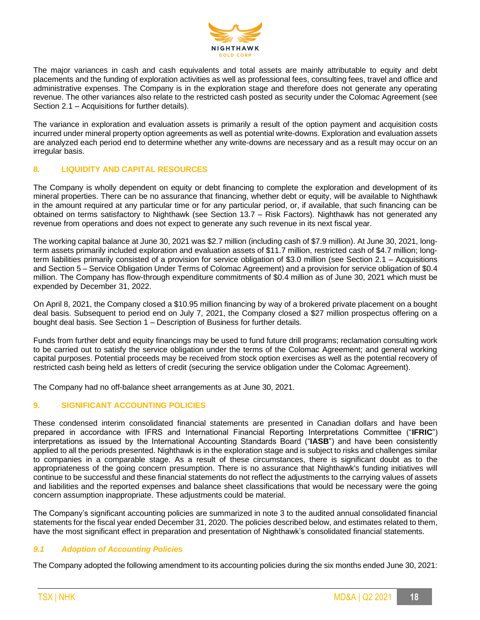

The major variances in cash and cash equivalents and total assets are mainly attributable to equity and debt placements and the funding of exploration activities as well as professional fees, consulting fees, travel and office and administrative expenses. The Company is in the exploration stage and therefore does not generate any operating revenue. The other variances also relate to the restricted cash posted as security under the Colomac Agreement (see Section 2.1 – Acquisitions for further details).

The variance in exploration and evaluation assets is primarily a result of the option payment and acquisition costs incurred under mineral property option agreements as well as potential write-downs. Exploration and evaluation assets are analyzed each period end to determine whether any write-downs are necessary and as a result may occur on an irregular basis.

## **8. LIQUIDITY AND CAPITAL RESOURCES**

The Company is wholly dependent on equity or debt financing to complete the exploration and development of its mineral properties. There can be no assurance that financing, whether debt or equity, will be available to Nighthawk in the amount required at any particular time or for any particular period, or, if available, that such financing can be obtained on terms satisfactory to Nighthawk (see Section 13.7 – Risk Factors). Nighthawk has not generated any revenue from operations and does not expect to generate any such revenue in its next fiscal year.

The working capital balance at June 30, 2021 was \$2.7 million (including cash of \$7.9 million). At June 30, 2021, longterm assets primarily included exploration and evaluation assets of \$11.7 million, restricted cash of \$4.7 million; longterm liabilities primarily consisted of a provision for service obligation of \$3.0 million (see Section 2.1 – Acquisitions and Section 5 – Service Obligation Under Terms of Colomac Agreement) and a provision for service obligation of \$0.4 million. The Company has flow-through expenditure commitments of \$0.4 million as of June 30, 2021 which must be expended by December 31, 2022.

On April 8, 2021, the Company closed a \$10.95 million financing by way of a brokered private placement on a bought deal basis. Subsequent to period end on July 7, 2021, the Company closed a \$27 million prospectus offering on a bought deal basis. See Section 1 – Description of Business for further details.

Funds from further debt and equity financings may be used to fund future drill programs; reclamation consulting work to be carried out to satisfy the service obligation under the terms of the Colomac Agreement; and general working capital purposes. Potential proceeds may be received from stock option exercises as well as the potential recovery of restricted cash being held as letters of credit (securing the service obligation under the Colomac Agreement).

The Company had no off-balance sheet arrangements as at June 30, 2021.

# **9. SIGNIFICANT ACCOUNTING POLICIES**

These condensed interim consolidated financial statements are presented in Canadian dollars and have been prepared in accordance with IFRS and International Financial Reporting Interpretations Committee ("**IFRIC**") interpretations as issued by the International Accounting Standards Board ("**IASB**") and have been consistently applied to all the periods presented. Nighthawk is in the exploration stage and is subject to risks and challenges similar to companies in a comparable stage. As a result of these circumstances, there is significant doubt as to the appropriateness of the going concern presumption. There is no assurance that Nighthawk's funding initiatives will continue to be successful and these financial statements do not reflect the adjustments to the carrying values of assets and liabilities and the reported expenses and balance sheet classifications that would be necessary were the going concern assumption inappropriate. These adjustments could be material.

The Company's significant accounting policies are summarized in note 3 to the audited annual consolidated financial statements for the fiscal year ended December 31, 2020. The policies described below, and estimates related to them, have the most significant effect in preparation and presentation of Nighthawk's consolidated financial statements.

#### *9.1 Adoption of Accounting Policies*

The Company adopted the following amendment to its accounting policies during the six months ended June 30, 2021: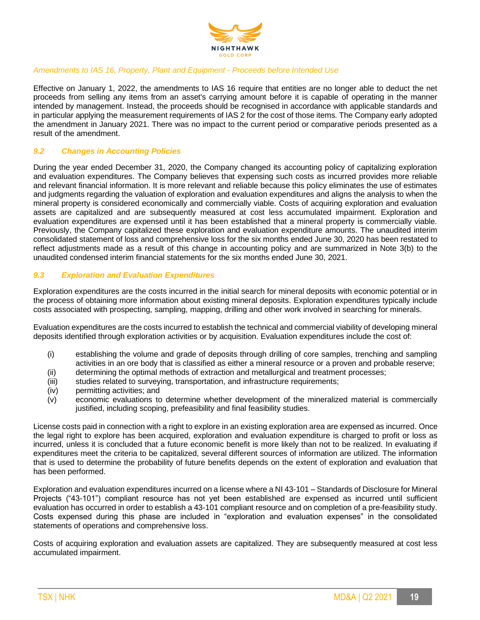

## *Amendments to IAS 16, Property, Plant and Equipment - Proceeds before Intended Use*

Effective on January 1, 2022, the amendments to IAS 16 require that entities are no longer able to deduct the net proceeds from selling any items from an asset's carrying amount before it is capable of operating in the manner intended by management. Instead, the proceeds should be recognised in accordance with applicable standards and in particular applying the measurement requirements of IAS 2 for the cost of those items. The Company early adopted the amendment in January 2021. There was no impact to the current period or comparative periods presented as a result of the amendment.

## *9.2 Changes in Accounting Policies*

During the year ended December 31, 2020, the Company changed its accounting policy of capitalizing exploration and evaluation expenditures. The Company believes that expensing such costs as incurred provides more reliable and relevant financial information. It is more relevant and reliable because this policy eliminates the use of estimates and judgments regarding the valuation of exploration and evaluation expenditures and aligns the analysis to when the mineral property is considered economically and commercially viable. Costs of acquiring exploration and evaluation assets are capitalized and are subsequently measured at cost less accumulated impairment. Exploration and evaluation expenditures are expensed until it has been established that a mineral property is commercially viable. Previously, the Company capitalized these exploration and evaluation expenditure amounts. The unaudited interim consolidated statement of loss and comprehensive loss for the six months ended June 30, 2020 has been restated to reflect adjustments made as a result of this change in accounting policy and are summarized in Note 3(b) to the unaudited condensed interim financial statements for the six months ended June 30, 2021.

## *9.3 Exploration and Evaluation Expenditures*

Exploration expenditures are the costs incurred in the initial search for mineral deposits with economic potential or in the process of obtaining more information about existing mineral deposits. Exploration expenditures typically include costs associated with prospecting, sampling, mapping, drilling and other work involved in searching for minerals.

Evaluation expenditures are the costs incurred to establish the technical and commercial viability of developing mineral deposits identified through exploration activities or by acquisition. Evaluation expenditures include the cost of:

- (i) establishing the volume and grade of deposits through drilling of core samples, trenching and sampling activities in an ore body that is classified as either a mineral resource or a proven and probable reserve;
- (ii) determining the optimal methods of extraction and metallurgical and treatment processes;
- (iii) studies related to surveying, transportation, and infrastructure requirements;
- (iv) permitting activities; and
- (v) economic evaluations to determine whether development of the mineralized material is commercially justified, including scoping, prefeasibility and final feasibility studies.

License costs paid in connection with a right to explore in an existing exploration area are expensed as incurred. Once the legal right to explore has been acquired, exploration and evaluation expenditure is charged to profit or loss as incurred, unless it is concluded that a future economic benefit is more likely than not to be realized. In evaluating if expenditures meet the criteria to be capitalized, several different sources of information are utilized. The information that is used to determine the probability of future benefits depends on the extent of exploration and evaluation that has been performed.

Exploration and evaluation expenditures incurred on a license where a NI 43-101 – Standards of Disclosure for Mineral Projects ("43-101") compliant resource has not yet been established are expensed as incurred until sufficient evaluation has occurred in order to establish a 43-101 compliant resource and on completion of a pre-feasibility study. Costs expensed during this phase are included in "exploration and evaluation expenses" in the consolidated statements of operations and comprehensive loss.

Costs of acquiring exploration and evaluation assets are capitalized. They are subsequently measured at cost less accumulated impairment.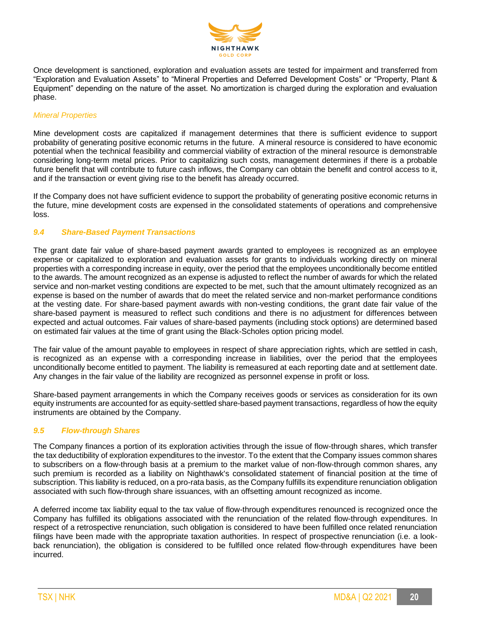

Once development is sanctioned, exploration and evaluation assets are tested for impairment and transferred from "Exploration and Evaluation Assets" to "Mineral Properties and Deferred Development Costs" or "Property, Plant & Equipment" depending on the nature of the asset. No amortization is charged during the exploration and evaluation phase.

## *Mineral Properties*

Mine development costs are capitalized if management determines that there is sufficient evidence to support probability of generating positive economic returns in the future. A mineral resource is considered to have economic potential when the technical feasibility and commercial viability of extraction of the mineral resource is demonstrable considering long-term metal prices. Prior to capitalizing such costs, management determines if there is a probable future benefit that will contribute to future cash inflows, the Company can obtain the benefit and control access to it, and if the transaction or event giving rise to the benefit has already occurred.

If the Company does not have sufficient evidence to support the probability of generating positive economic returns in the future, mine development costs are expensed in the consolidated statements of operations and comprehensive loss.

#### *9.4 Share-Based Payment Transactions*

The grant date fair value of share-based payment awards granted to employees is recognized as an employee expense or capitalized to exploration and evaluation assets for grants to individuals working directly on mineral properties with a corresponding increase in equity, over the period that the employees unconditionally become entitled to the awards. The amount recognized as an expense is adjusted to reflect the number of awards for which the related service and non-market vesting conditions are expected to be met, such that the amount ultimately recognized as an expense is based on the number of awards that do meet the related service and non-market performance conditions at the vesting date. For share-based payment awards with non-vesting conditions, the grant date fair value of the share-based payment is measured to reflect such conditions and there is no adjustment for differences between expected and actual outcomes. Fair values of share-based payments (including stock options) are determined based on estimated fair values at the time of grant using the Black-Scholes option pricing model.

The fair value of the amount payable to employees in respect of share appreciation rights, which are settled in cash, is recognized as an expense with a corresponding increase in liabilities, over the period that the employees unconditionally become entitled to payment. The liability is remeasured at each reporting date and at settlement date. Any changes in the fair value of the liability are recognized as personnel expense in profit or loss.

Share-based payment arrangements in which the Company receives goods or services as consideration for its own equity instruments are accounted for as equity-settled share-based payment transactions, regardless of how the equity instruments are obtained by the Company.

#### *9.5 Flow-through Shares*

The Company finances a portion of its exploration activities through the issue of flow-through shares, which transfer the tax deductibility of exploration expenditures to the investor. To the extent that the Company issues common shares to subscribers on a flow-through basis at a premium to the market value of non-flow-through common shares, any such premium is recorded as a liability on Nighthawk's consolidated statement of financial position at the time of subscription. This liability is reduced, on a pro-rata basis, as the Company fulfills its expenditure renunciation obligation associated with such flow-through share issuances, with an offsetting amount recognized as income.

A deferred income tax liability equal to the tax value of flow-through expenditures renounced is recognized once the Company has fulfilled its obligations associated with the renunciation of the related flow-through expenditures. In respect of a retrospective renunciation, such obligation is considered to have been fulfilled once related renunciation filings have been made with the appropriate taxation authorities. In respect of prospective renunciation (i.e. a lookback renunciation), the obligation is considered to be fulfilled once related flow-through expenditures have been incurred.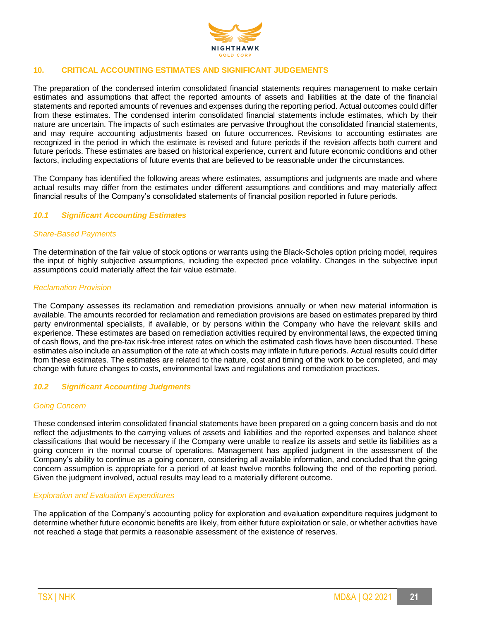

## **10. CRITICAL ACCOUNTING ESTIMATES AND SIGNIFICANT JUDGEMENTS**

The preparation of the condensed interim consolidated financial statements requires management to make certain estimates and assumptions that affect the reported amounts of assets and liabilities at the date of the financial statements and reported amounts of revenues and expenses during the reporting period. Actual outcomes could differ from these estimates. The condensed interim consolidated financial statements include estimates, which by their nature are uncertain. The impacts of such estimates are pervasive throughout the consolidated financial statements, and may require accounting adjustments based on future occurrences. Revisions to accounting estimates are recognized in the period in which the estimate is revised and future periods if the revision affects both current and future periods. These estimates are based on historical experience, current and future economic conditions and other factors, including expectations of future events that are believed to be reasonable under the circumstances.

The Company has identified the following areas where estimates, assumptions and judgments are made and where actual results may differ from the estimates under different assumptions and conditions and may materially affect financial results of the Company's consolidated statements of financial position reported in future periods.

#### *10.1 Significant Accounting Estimates*

#### *Share-Based Payments*

The determination of the fair value of stock options or warrants using the Black-Scholes option pricing model, requires the input of highly subjective assumptions, including the expected price volatility. Changes in the subjective input assumptions could materially affect the fair value estimate.

#### *Reclamation Provision*

The Company assesses its reclamation and remediation provisions annually or when new material information is available. The amounts recorded for reclamation and remediation provisions are based on estimates prepared by third party environmental specialists, if available, or by persons within the Company who have the relevant skills and experience. These estimates are based on remediation activities required by environmental laws, the expected timing of cash flows, and the pre-tax risk-free interest rates on which the estimated cash flows have been discounted. These estimates also include an assumption of the rate at which costs may inflate in future periods. Actual results could differ from these estimates. The estimates are related to the nature, cost and timing of the work to be completed, and may change with future changes to costs, environmental laws and regulations and remediation practices.

#### *10.2 Significant Accounting Judgments*

#### *Going Concern*

These condensed interim consolidated financial statements have been prepared on a going concern basis and do not reflect the adjustments to the carrying values of assets and liabilities and the reported expenses and balance sheet classifications that would be necessary if the Company were unable to realize its assets and settle its liabilities as a going concern in the normal course of operations. Management has applied judgment in the assessment of the Company's ability to continue as a going concern, considering all available information, and concluded that the going concern assumption is appropriate for a period of at least twelve months following the end of the reporting period. Given the judgment involved, actual results may lead to a materially different outcome.

#### *Exploration and Evaluation Expenditures*

The application of the Company's accounting policy for exploration and evaluation expenditure requires judgment to determine whether future economic benefits are likely, from either future exploitation or sale, or whether activities have not reached a stage that permits a reasonable assessment of the existence of reserves.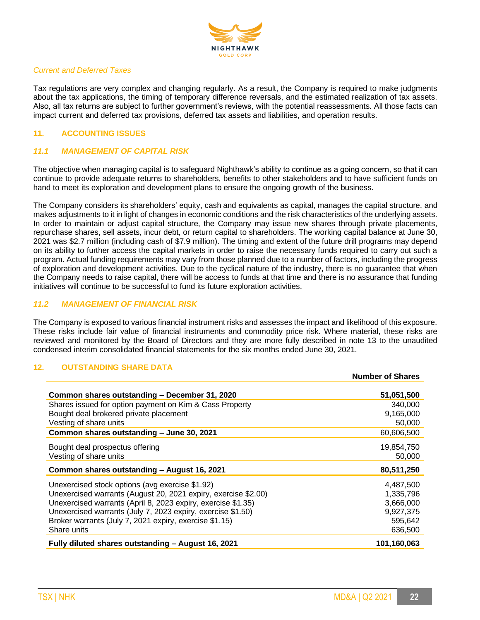

## *Current and Deferred Taxes*

Tax regulations are very complex and changing regularly. As a result, the Company is required to make judgments about the tax applications, the timing of temporary difference reversals, and the estimated realization of tax assets. Also, all tax returns are subject to further government's reviews, with the potential reassessments. All those facts can impact current and deferred tax provisions, deferred tax assets and liabilities, and operation results.

# **11. ACCOUNTING ISSUES**

# *11.1 MANAGEMENT OF CAPITAL RISK*

The objective when managing capital is to safeguard Nighthawk's ability to continue as a going concern, so that it can continue to provide adequate returns to shareholders, benefits to other stakeholders and to have sufficient funds on hand to meet its exploration and development plans to ensure the ongoing growth of the business.

The Company considers its shareholders' equity, cash and equivalents as capital, manages the capital structure, and makes adjustments to it in light of changes in economic conditions and the risk characteristics of the underlying assets. In order to maintain or adjust capital structure, the Company may issue new shares through private placements, repurchase shares, sell assets, incur debt, or return capital to shareholders. The working capital balance at June 30, 2021 was \$2.7 million (including cash of \$7.9 million). The timing and extent of the future drill programs may depend on its ability to further access the capital markets in order to raise the necessary funds required to carry out such a program. Actual funding requirements may vary from those planned due to a number of factors, including the progress of exploration and development activities. Due to the cyclical nature of the industry, there is no guarantee that when the Company needs to raise capital, there will be access to funds at that time and there is no assurance that funding initiatives will continue to be successful to fund its future exploration activities.

## *11.2 MANAGEMENT OF FINANCIAL RISK*

The Company is exposed to various financial instrument risks and assesses the impact and likelihood of this exposure. These risks include fair value of financial instruments and commodity price risk. Where material, these risks are reviewed and monitored by the Board of Directors and they are more fully described in note 13 to the unaudited condensed interim consolidated financial statements for the six months ended June 30, 2021.

## **12. OUTSTANDING SHARE DATA**

|                                                                | <b>Number of Shares</b> |
|----------------------------------------------------------------|-------------------------|
| Common shares outstanding - December 31, 2020                  | 51,051,500              |
| Shares issued for option payment on Kim & Cass Property        | 340,000                 |
| Bought deal brokered private placement                         | 9,165,000               |
| Vesting of share units                                         | 50,000                  |
| Common shares outstanding - June 30, 2021                      | 60,606,500              |
| Bought deal prospectus offering                                | 19,854,750              |
| Vesting of share units                                         | 50,000                  |
| Common shares outstanding - August 16, 2021                    | 80,511,250              |
| Unexercised stock options (avg exercise \$1.92)                | 4,487,500               |
| Unexercised warrants (August 20, 2021 expiry, exercise \$2.00) | 1,335,796               |
| Unexercised warrants (April 8, 2023 expiry, exercise \$1.35)   | 3,666,000               |
| Unexercised warrants (July 7, 2023 expiry, exercise \$1.50)    | 9,927,375               |
| Broker warrants (July 7, 2021 expiry, exercise \$1.15)         | 595,642                 |
| Share units                                                    | 636,500                 |
| Fully diluted shares outstanding - August 16, 2021             | 101,160,063             |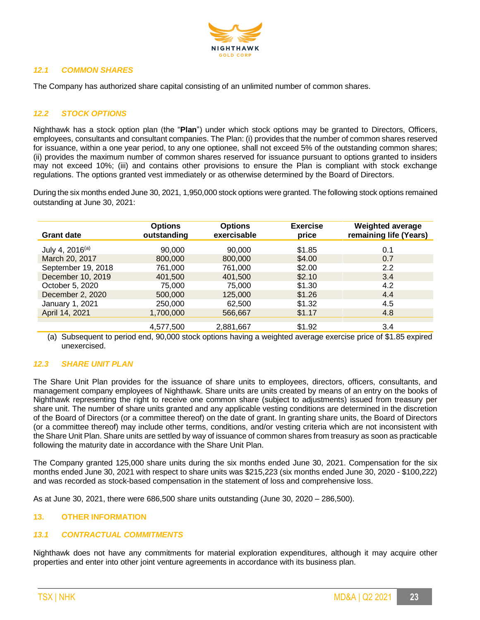

# *12.1 COMMON SHARES*

The Company has authorized share capital consisting of an unlimited number of common shares.

# *12.2 STOCK OPTIONS*

Nighthawk has a stock option plan (the "**Plan**") under which stock options may be granted to Directors, Officers, employees, consultants and consultant companies. The Plan: (i) provides that the number of common shares reserved for issuance, within a one year period, to any one optionee, shall not exceed 5% of the outstanding common shares; (ii) provides the maximum number of common shares reserved for issuance pursuant to options granted to insiders may not exceed 10%; (iii) and contains other provisions to ensure the Plan is compliant with stock exchange regulations. The options granted vest immediately or as otherwise determined by the Board of Directors.

During the six months ended June 30, 2021, 1,950,000 stock options were granted. The following stock options remained outstanding at June 30, 2021:

| <b>Grant date</b>           | <b>Options</b><br>outstanding | <b>Options</b><br>exercisable | <b>Exercise</b><br>price | <b>Weighted average</b><br>remaining life (Years) |
|-----------------------------|-------------------------------|-------------------------------|--------------------------|---------------------------------------------------|
| July 4, 2016 <sup>(a)</sup> | 90,000                        | 90,000                        | \$1.85                   | 0.1                                               |
| March 20, 2017              | 800,000                       | 800,000                       | \$4.00                   | 0.7                                               |
| September 19, 2018          | 761,000                       | 761,000                       | \$2.00                   | 2.2                                               |
| December 10, 2019           | 401.500                       | 401.500                       | \$2.10                   | 3.4                                               |
| October 5, 2020             | 75,000                        | 75,000                        | \$1.30                   | 4.2                                               |
| December 2, 2020            | 500,000                       | 125,000                       | \$1.26                   | 4.4                                               |
| January 1, 2021             | 250,000                       | 62.500                        | \$1.32                   | 4.5                                               |
| April 14, 2021              | 1,700,000                     | 566,667                       | \$1.17                   | 4.8                                               |
|                             | 4,577,500                     | 2,881,667                     | \$1.92                   | 3.4                                               |

(a) Subsequent to period end, 90,000 stock options having a weighted average exercise price of \$1.85 expired unexercised.

#### *12.3 SHARE UNIT PLAN*

The Share Unit Plan provides for the issuance of share units to employees, directors, officers, consultants, and management company employees of Nighthawk. Share units are units created by means of an entry on the books of Nighthawk representing the right to receive one common share (subject to adjustments) issued from treasury per share unit. The number of share units granted and any applicable vesting conditions are determined in the discretion of the Board of Directors (or a committee thereof) on the date of grant. In granting share units, the Board of Directors (or a committee thereof) may include other terms, conditions, and/or vesting criteria which are not inconsistent with the Share Unit Plan. Share units are settled by way of issuance of common shares from treasury as soon as practicable following the maturity date in accordance with the Share Unit Plan.

The Company granted 125,000 share units during the six months ended June 30, 2021. Compensation for the six months ended June 30, 2021 with respect to share units was \$215,223 (six months ended June 30, 2020 - \$100,222) and was recorded as stock-based compensation in the statement of loss and comprehensive loss.

As at June 30, 2021, there were 686,500 share units outstanding (June 30, 2020 – 286,500).

## **13. OTHER INFORMATION**

#### *13.1 CONTRACTUAL COMMITMENTS*

Nighthawk does not have any commitments for material exploration expenditures, although it may acquire other properties and enter into other joint venture agreements in accordance with its business plan.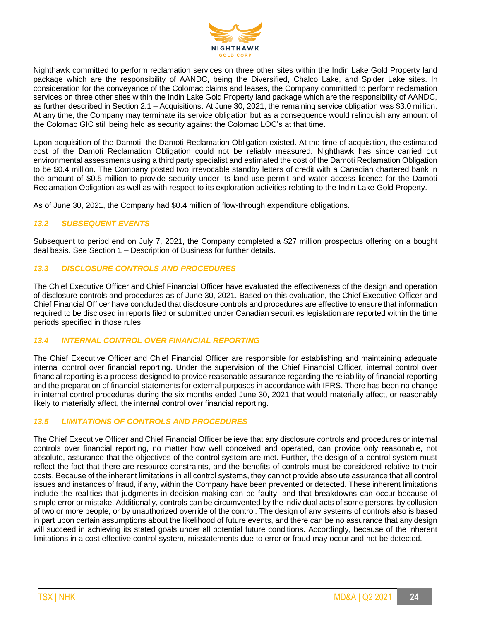

Nighthawk committed to perform reclamation services on three other sites within the Indin Lake Gold Property land package which are the responsibility of AANDC, being the Diversified, Chalco Lake, and Spider Lake sites. In consideration for the conveyance of the Colomac claims and leases, the Company committed to perform reclamation services on three other sites within the Indin Lake Gold Property land package which are the responsibility of AANDC, as further described in Section 2.1 – Acquisitions. At June 30, 2021, the remaining service obligation was \$3.0 million. At any time, the Company may terminate its service obligation but as a consequence would relinquish any amount of the Colomac GIC still being held as security against the Colomac LOC's at that time.

Upon acquisition of the Damoti, the Damoti Reclamation Obligation existed. At the time of acquisition, the estimated cost of the Damoti Reclamation Obligation could not be reliably measured. Nighthawk has since carried out environmental assessments using a third party specialist and estimated the cost of the Damoti Reclamation Obligation to be \$0.4 million. The Company posted two irrevocable standby letters of credit with a Canadian chartered bank in the amount of \$0.5 million to provide security under its land use permit and water access licence for the Damoti Reclamation Obligation as well as with respect to its exploration activities relating to the Indin Lake Gold Property.

As of June 30, 2021, the Company had \$0.4 million of flow-through expenditure obligations.

## *13.2 SUBSEQUENT EVENTS*

Subsequent to period end on July 7, 2021, the Company completed a \$27 million prospectus offering on a bought deal basis. See Section 1 – Description of Business for further details.

## *13.3 DISCLOSURE CONTROLS AND PROCEDURES*

The Chief Executive Officer and Chief Financial Officer have evaluated the effectiveness of the design and operation of disclosure controls and procedures as of June 30, 2021. Based on this evaluation, the Chief Executive Officer and Chief Financial Officer have concluded that disclosure controls and procedures are effective to ensure that information required to be disclosed in reports filed or submitted under Canadian securities legislation are reported within the time periods specified in those rules.

#### *13.4 INTERNAL CONTROL OVER FINANCIAL REPORTING*

The Chief Executive Officer and Chief Financial Officer are responsible for establishing and maintaining adequate internal control over financial reporting. Under the supervision of the Chief Financial Officer, internal control over financial reporting is a process designed to provide reasonable assurance regarding the reliability of financial reporting and the preparation of financial statements for external purposes in accordance with IFRS. There has been no change in internal control procedures during the six months ended June 30, 2021 that would materially affect, or reasonably likely to materially affect, the internal control over financial reporting.

# *13.5 LIMITATIONS OF CONTROLS AND PROCEDURES*

The Chief Executive Officer and Chief Financial Officer believe that any disclosure controls and procedures or internal controls over financial reporting, no matter how well conceived and operated, can provide only reasonable, not absolute, assurance that the objectives of the control system are met. Further, the design of a control system must reflect the fact that there are resource constraints, and the benefits of controls must be considered relative to their costs. Because of the inherent limitations in all control systems, they cannot provide absolute assurance that all control issues and instances of fraud, if any, within the Company have been prevented or detected. These inherent limitations include the realities that judgments in decision making can be faulty, and that breakdowns can occur because of simple error or mistake. Additionally, controls can be circumvented by the individual acts of some persons, by collusion of two or more people, or by unauthorized override of the control. The design of any systems of controls also is based in part upon certain assumptions about the likelihood of future events, and there can be no assurance that any design will succeed in achieving its stated goals under all potential future conditions. Accordingly, because of the inherent limitations in a cost effective control system, misstatements due to error or fraud may occur and not be detected.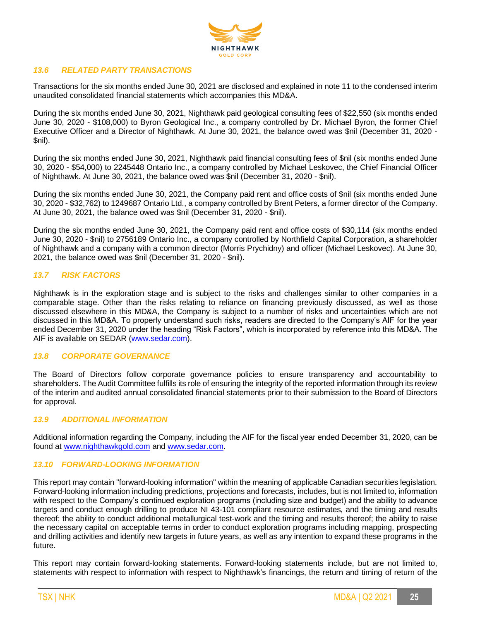

## *13.6 RELATED PARTY TRANSACTIONS*

Transactions for the six months ended June 30, 2021 are disclosed and explained in note 11 to the condensed interim unaudited consolidated financial statements which accompanies this MD&A.

During the six months ended June 30, 2021, Nighthawk paid geological consulting fees of \$22,550 (six months ended June 30, 2020 - \$108,000) to Byron Geological Inc., a company controlled by Dr. Michael Byron, the former Chief Executive Officer and a Director of Nighthawk. At June 30, 2021, the balance owed was \$nil (December 31, 2020 - \$nil).

During the six months ended June 30, 2021, Nighthawk paid financial consulting fees of \$nil (six months ended June 30, 2020 - \$54,000) to 2245448 Ontario Inc., a company controlled by Michael Leskovec, the Chief Financial Officer of Nighthawk. At June 30, 2021, the balance owed was \$nil (December 31, 2020 - \$nil).

During the six months ended June 30, 2021, the Company paid rent and office costs of \$nil (six months ended June 30, 2020 - \$32,762) to 1249687 Ontario Ltd., a company controlled by Brent Peters, a former director of the Company. At June 30, 2021, the balance owed was \$nil (December 31, 2020 - \$nil).

During the six months ended June 30, 2021, the Company paid rent and office costs of \$30,114 (six months ended June 30, 2020 - \$nil) to 2756189 Ontario Inc., a company controlled by Northfield Capital Corporation, a shareholder of Nighthawk and a company with a common director (Morris Prychidny) and officer (Michael Leskovec). At June 30, 2021, the balance owed was \$nil (December 31, 2020 - \$nil).

## *13.7 RISK FACTORS*

Nighthawk is in the exploration stage and is subject to the risks and challenges similar to other companies in a comparable stage. Other than the risks relating to reliance on financing previously discussed, as well as those discussed elsewhere in this MD&A, the Company is subject to a number of risks and uncertainties which are not discussed in this MD&A. To properly understand such risks, readers are directed to the Company's AIF for the year ended December 31, 2020 under the heading "Risk Factors", which is incorporated by reference into this MD&A. The AIF is available on SEDAR [\(www.sedar.com\)](http://www.sedar.com/).

#### *13.8 CORPORATE GOVERNANCE*

The Board of Directors follow corporate governance policies to ensure transparency and accountability to shareholders. The Audit Committee fulfills its role of ensuring the integrity of the reported information through its review of the interim and audited annual consolidated financial statements prior to their submission to the Board of Directors for approval.

#### *13.9 ADDITIONAL INFORMATION*

Additional information regarding the Company, including the AIF for the fiscal year ended December 31, 2020, can be found at [www.nighthawkgold.com](http://www.nighthawkgold.com/) and [www.sedar.com.](http://www.sedar.com/)

## *13.10 FORWARD-LOOKING INFORMATION*

This report may contain "forward-looking information" within the meaning of applicable Canadian securities legislation. Forward-looking information including predictions, projections and forecasts, includes, but is not limited to, information with respect to the Company's continued exploration programs (including size and budget) and the ability to advance targets and conduct enough drilling to produce NI 43-101 compliant resource estimates, and the timing and results thereof; the ability to conduct additional metallurgical test-work and the timing and results thereof; the ability to raise the necessary capital on acceptable terms in order to conduct exploration programs including mapping, prospecting and drilling activities and identify new targets in future years, as well as any intention to expand these programs in the future.

This report may contain forward-looking statements. Forward-looking statements include, but are not limited to, statements with respect to information with respect to Nighthawk's financings, the return and timing of return of the